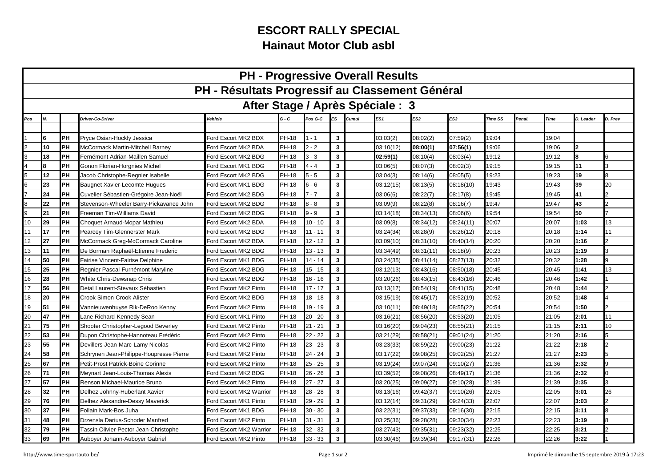## **ESCORT RALLY SPECIALHainaut Motor Club asbl**

| <b>PH - Progressive Overall Results</b>         |    |           |                                         |                         |              |           |                         |       |                 |           |           |         |        |       |           |                |
|-------------------------------------------------|----|-----------|-----------------------------------------|-------------------------|--------------|-----------|-------------------------|-------|-----------------|-----------|-----------|---------|--------|-------|-----------|----------------|
| PH - Résultats Progressif au Classement Général |    |           |                                         |                         |              |           |                         |       |                 |           |           |         |        |       |           |                |
| After Stage / Après Spéciale : 3                |    |           |                                         |                         |              |           |                         |       |                 |           |           |         |        |       |           |                |
| Pos                                             |    |           | Driver-Co-Driver                        | Vehicle                 | $G - C$      | Pos G-C   | ES                      | Cumul | ES <sub>1</sub> | ES2       | ES3       | Time SS | Penal. | Time  | D. Leader | D. Prev        |
|                                                 |    |           |                                         |                         |              |           |                         |       |                 |           |           |         |        |       |           |                |
|                                                 |    | IРН       | Pryce Osian-Hockly Jessica              | Ford Escort MK2 BDX     | <b>PH-18</b> | $-1$      | 3                       |       | 03:03(2)        | 08:02(2)  | 07:59(2)  | 19:04   |        | 19:04 |           |                |
|                                                 | 10 | PH        | McCormack Martin-Mitchell Barney        | Ford Escort MK2 BDA     | <b>PH-18</b> | $2 - 2$   | $\mathbf{3}$            |       | 03:10(12)       | 08:00(1)  | 07:56(1)  | 19:06   |        | 19:06 |           |                |
| 3                                               | 18 | <b>PH</b> | Fernémont Adrian-Maillen Samuel         | Ford Escort MK2 BDG     | <b>PH-18</b> | $3 - 3$   | 3                       |       | 02:59(1)        | 08:10(4)  | 08:03(4)  | 19:12   |        | 19:12 | 8         |                |
| $\overline{4}$                                  |    | PH        | Gonon Florian-Horgnies Michel           | Ford Escort MK1 BDG     | <b>PH-18</b> | $4 - 4$   | 3                       |       | 03:06(5)        | 08:07(3)  | 08:02(3)  | 19:15   |        | 19:15 | 11        |                |
| 5                                               | 12 | PH        | Jacob Christophe-Regnier Isabelle       | Ford Escort MK2 BDG     | <b>PH-18</b> | $5 - 5$   | $\mathbf{3}$            |       | 03:04(3)        | 08:14(6)  | 08:05(5)  | 19:23   |        | 19:23 | 19        |                |
| $6\phantom{.}6$                                 | 23 | PH        | Baugnet Xavier-Lecomte Hugues           | Ford Escort MK1 BDG     | <b>PH-18</b> | 6 - 6     | 3                       |       | 03:12(15)       | 08:13(5)  | 08:18(10) | 19:43   |        | 19:43 | 39        | 20             |
|                                                 | 24 | PH        | Cuvelier Sébastien-Grégoire Jean-Noël   | Ford Escort MK2 BDG     | PH-18        | $7 - 7$   | 3                       |       | 03:06(6)        | 08:22(7)  | 08:17(8)  | 19:45   |        | 19:45 | 41        |                |
| 8                                               | 22 | PH        | Stevenson-Wheeler Barry-Pickavance John | Ford Escort MK2 BDG     | PH-18        | 8 - 8     | $\mathbf{3}$            |       | 03:09(9)        | 08:22(8)  | 08:16(7)  | 19:47   |        | 19:47 | 43        |                |
| 9                                               | 21 | PH        | Freeman Tim-Williams David              | Ford Escort MK2 BDG     | <b>PH-18</b> | $9 - 9$   | $\mathbf{3}$            |       | 03:14(18)       | 08:34(13) | 08:06(6)  | 19:54   |        | 19:54 | 50        |                |
| 10                                              | 29 | IРН       | Choquet Arnaud-Mopar Mathieu            | Ford Escort MK2 BDA     | <b>PH-18</b> | $10 - 10$ | $\mathbf{3}$            |       | 03:09(8)        | 08:34(12) | 08:24(11) | 20:07   |        | 20:07 | 1:03      | 13             |
| 11                                              | 17 | PH        | Pearcey Tim-Glennerster Mark            | Ford Escort MK2 BDG     | <b>PH-18</b> | $11 - 11$ | $\mathbf{3}$            |       | 03:24(34)       | 08:28(9)  | 08:26(12) | 20:18   |        | 20:18 | 1:14      | 11             |
| 12                                              | 27 | PH        | McCormack Greg-McCormack Caroline       | Ford Escort MK2 BDA     | PH-18        | $12 - 12$ | $\mathbf{3}$            |       | 03:09(10)       | 08:31(10) | 08:40(14) | 20:20   |        | 20:20 | 1:16      |                |
| 13                                              | 11 | PH        | De Borman Raphaël-Etienne Frederic      | Ford Escort MK2 BDG     | PH-18        | $13 - 13$ | 3                       |       | 03:34(49)       | 08:31(11) | 08:18(9)  | 20:23   |        | 20:23 | 1:19      | 3              |
| 14                                              | 50 | PH        | Fairise Vincent-Fairise Delphine        | Ford Escort MK1 BDG     | PH-18        | 14 - 14   | 3                       |       | 03:24(35)       | 08:41(14) | 08:27(13) | 20:32   |        | 20:32 | 1:28      | Q              |
| 15                                              | 25 | PH        | Regnier Pascal-Furnémont Maryline       | Ford Escort MK2 BDG     | PH-18        | $15 - 15$ | 3                       |       | 03:12(13)       | 08:43(16) | 08:50(18) | 20:45   |        | 20:45 | 1:41      | 13             |
| 16                                              | 28 | PH        | White Chris-Dewsnap Chris               | Ford Escort MK2 BDG     | PH-18        | 16 - 16   | 3                       |       | 03:20(26)       | 08:43(15) | 08:43(16) | 20:46   |        | 20:46 | 1:42      |                |
| 17                                              | 56 | PH        | Detal Laurent-Stevaux Sébastien         | Ford Escort MK2 Pinto   | <b>PH-18</b> | $17 - 17$ | $\mathbf{3}$            |       | 03:13(17)       | 08:54(19) | 08:41(15) | 20:48   |        | 20:48 | 1:44      |                |
| 18                                              | 20 | PH        | Crook Simon-Crook Alister               | Ford Escort MK2 BDG     | <b>PH-18</b> | 18 - 18   | $\mathbf{3}$            |       | 03:15(19)       | 08:45(17) | 08:52(19) | 20:52   |        | 20:52 | 1:48      |                |
| 19                                              | 51 | PH        | Vannieuwenhuyse Rik-DeRoo Kenny         | Ford Escort MK2 Pinto   | <b>PH-18</b> | $19 - 19$ | $\mathbf{3}$            |       | 03:10(11)       | 08:49(18) | 08:55(22) | 20:54   |        | 20:54 | 1:50      | $\mathfrak{p}$ |
| 20                                              | 47 | PH        | ane Richard-Kennedy Sean                | Ford Escort MK1 Pinto   | <b>PH-18</b> | $20 - 20$ | $\mathbf{3}$            |       | 03:16(21)       | 08:56(20) | 08:53(20) | 21:05   |        | 21:05 | 2:01      | 11             |
| 21                                              | 75 | PH        | Shooter Christopher-Legood Beverley     | Ford Escort MK2 Pinto   | <b>PH-18</b> | 21 - 21   | $\mathbf{3}$            |       | 03:16(20)       | 09:04(23) | 08:55(21) | 21:15   |        | 21:15 | 2:11      | 10             |
| 22                                              | 53 | PH        | Dupon Christophe-Hannoteau Frédéric     | Ford Escort MK2 Pinto   | <b>PH-18</b> | 22 - 22   | 3                       |       | 03:21(29)       | 08:58(21) | 09:01(24) | 21:20   |        | 21:20 | 2:16      |                |
| 23                                              | 55 | PH        | Devillers Jean-Marc-Lamy Nicolas        | Ford Escort MK2 Pinto   | <b>PH-18</b> | 23 - 23   | $\mathbf{3}$            |       | 03:23(33)       | 08:59(22) | 09:00(23) | 21:22   |        | 21:22 | 2:18      |                |
| 24                                              | 58 | PH        | Schrynen Jean-Philippe-Houpresse Pierre | Ford Escort MK2 Pinto   | PH-18        | 24 - 24   | 3                       |       | 03:17(22)       | 09:08(25) | 09:02(25) | 21:27   |        | 21:27 | 2:23      |                |
| 25                                              | 67 | PH        | Petit-Prost Patrick-Boine Corinne       | Ford Escort MK2 Pinto   | <b>PH-18</b> | $25 - 25$ | 3                       |       | 03:19(24)       | 09:07(24) | 09:10(27) | 21:36   |        | 21:36 | 2:32      |                |
| 26                                              | 71 | PH        | Meynart Jean-Louis-Thomas Alexis        | Ford Escort MK2 BDG     | <b>PH-18</b> | $26 - 26$ | 3                       |       | 03:39(52)       | 09:08(26) | 08:49(17) | 21:36   |        | 21:36 | 2:32      |                |
| 27                                              | 57 | PH        | Renson Michael-Maurice Bruno            | Ford Escort MK2 Pinto   | PH-18        | $27 - 27$ | $\overline{\mathbf{3}}$ |       | 03:20(25)       | 09:09(27) | 09:10(28) | 21:39   |        | 21:39 | 2:35      |                |
| 28                                              | 32 | PH        | Delhez Johnny-Huberlant Xavier          | Ford Escort MK2 Warrior | PH-18        | 28 - 28   | $\mathbf{3}$            |       | 03:13(16)       | 09:42(37) | 09:10(26) | 22:05   |        | 22:05 | 3:01      | 26             |
| 29                                              | 76 | PH        | Delhez Alexandre-Dessy Maverick         | Ford Escort MK1 Pinto   | PH-18        | 29 - 29   | $\mathbf{3}$            |       | 03:12(14)       | 09:31(29) | 09:24(33) | 22:07   |        | 22:07 | 3:03      | 2              |
| 30                                              | 37 | PH        | Follain Mark-Bos Juha                   | Ford Escort MK1 BDG     | PH-18        | $30 - 30$ | 3                       |       | 03:22(31)       | 09:37(33) | 09:16(30) | 22:15   |        | 22:15 | 3:11      | R              |
| 31                                              | 48 | PH        | Drzensla Darius-Schoder Manfred         | Ford Escort MK2 Pinto   | <b>PH-18</b> | 31 - 31   | 3                       |       | 03:25(36)       | 09:28(28) | 09:30(34) | 22:23   |        | 22:23 | 3:19      |                |
| 32                                              | 79 | PH        | Tassin Olivier-Pector Jean-Christophe   | Ford Escort MK2 Warrior | PH-18        | $32 - 32$ | 3                       |       | 03:27(43)       | 09:35(31) | 09:23(32) | 22:25   |        | 22:25 | 3:21      | っ              |
| 33                                              | 69 | PH        | Auboyer Johann-Auboyer Gabriel          | Ford Escort MK2 Pinto   | <b>PH-18</b> | $33 - 33$ | 3                       |       | 03:30(46)       | 09:39(34) | 09:17(31) | 22:26   |        | 22:26 | 3:22      |                |